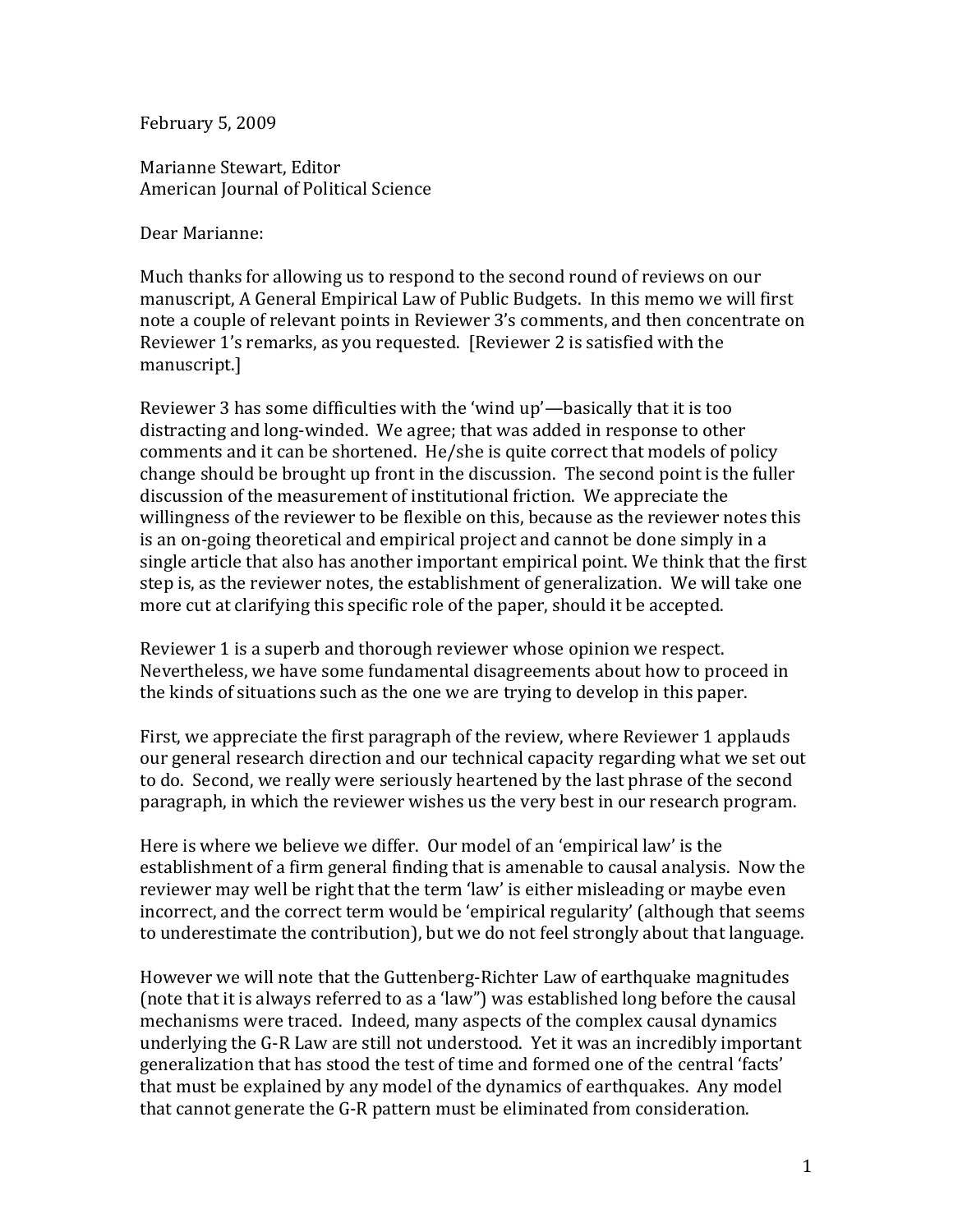February 5, 2009

Marianne Stewart, Editor American Journal of Political Science

Dear Marianne:

Much thanks for allowing us to respond to the second round of reviews on our manuscript, A General Empirical Law of Public Budgets. In this memo we will first note a couple of relevant points in Reviewer 3's comments, and then concentrate on Reviewer 1's remarks, as you requested. [Reviewer 2 is satisfied with the manuscript.]

Reviewer 3 has some difficulties with the 'wind up'—basically that it is too distracting and long-winded. We agree; that was added in response to other comments and it can be shortened. He/she is quite correct that models of policy change should be brought up front in the discussion. The second point is the fuller discussion of the measurement of institutional friction. We appreciate the willingness of the reviewer to be flexible on this, because as the reviewer notes this is an on-going theoretical and empirical project and cannot be done simply in a single article that also has another important empirical point. We think that the first step is, as the reviewer notes, the establishment of generalization. We will take one more cut at clarifying this specific role of the paper, should it be accepted.

Reviewer 1 is a superb and thorough reviewer whose opinion we respect. Nevertheless, we have some fundamental disagreements about how to proceed in the kinds of situations such as the one we are trying to develop in this paper.

First, we appreciate the first paragraph of the review, where Reviewer 1 applauds our general research direction and our technical capacity regarding what we set out to do. Second, we really were seriously heartened by the last phrase of the second paragraph, in which the reviewer wishes us the very best in our research program.

Here is where we believe we differ. Our model of an 'empirical law' is the establishment of a firm general finding that is amenable to causal analysis. Now the reviewer may well be right that the term 'law' is either misleading or maybe even incorrect, and the correct term would be 'empirical regularity' (although that seems to underestimate the contribution), but we do not feel strongly about that language.

However we will note that the Guttenberg-Richter Law of earthquake magnitudes (note that it is always referred to as a 'law") was established long before the causal mechanisms were traced. Indeed, many aspects of the complex causal dynamics underlying the G-R Law are still not understood. Yet it was an incredibly important generalization that has stood the test of time and formed one of the central 'facts' that must be explained by any model of the dynamics of earthquakes. Any model that cannot generate the G-R pattern must be eliminated from consideration.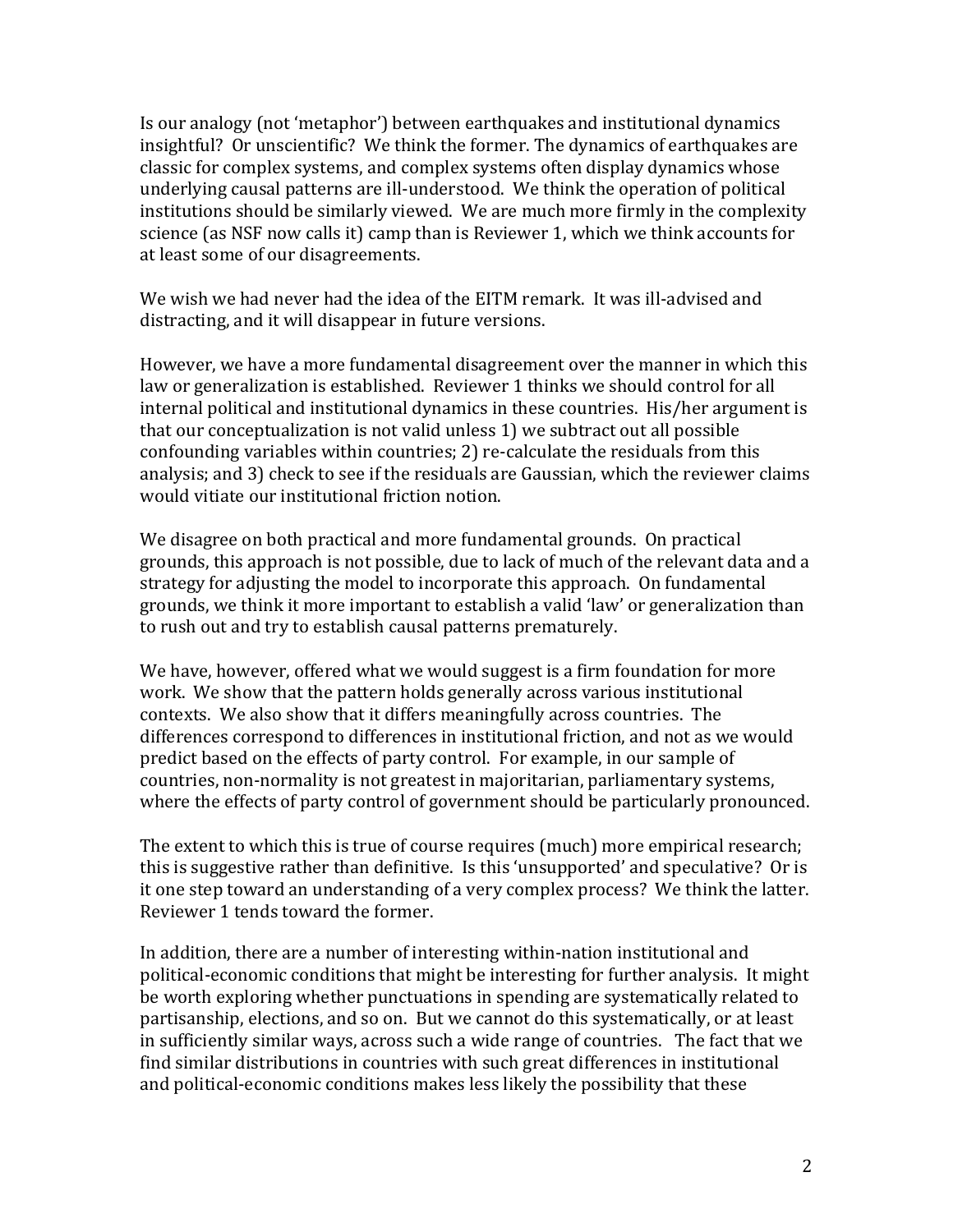Is our analogy (not 'metaphor') between earthquakes and institutional dynamics insightful? Or unscientific? We think the former. The dynamics of earthquakes are classic for complex systems, and complex systems often display dynamics whose underlying causal patterns are ill-understood. We think the operation of political institutions should be similarly viewed. We are much more firmly in the complexity science (as NSF now calls it) camp than is Reviewer 1, which we think accounts for at least some of our disagreements.

We wish we had never had the idea of the EITM remark. It was ill-advised and distracting, and it will disappear in future versions.

However, we have a more fundamental disagreement over the manner in which this law or generalization is established. Reviewer 1 thinks we should control for all internal political and institutional dynamics in these countries. His/her argument is that our conceptualization is not valid unless 1) we subtract out all possible confounding variables within countries; 2) re-calculate the residuals from this analysis; and 3) check to see if the residuals are Gaussian, which the reviewer claims would vitiate our institutional friction notion.

We disagree on both practical and more fundamental grounds. On practical grounds, this approach is not possible, due to lack of much of the relevant data and a strategy for adjusting the model to incorporate this approach. On fundamental grounds, we think it more important to establish a valid 'law' or generalization than to rush out and try to establish causal patterns prematurely.

We have, however, offered what we would suggest is a firm foundation for more work. We show that the pattern holds generally across various institutional contexts. We also show that it differs meaningfully across countries. The differences correspond to differences in institutional friction, and not as we would predict based on the effects of party control. For example, in our sample of countries, non-normality is not greatest in majoritarian, parliamentary systems, where the effects of party control of government should be particularly pronounced.

The extent to which this is true of course requires (much) more empirical research; this is suggestive rather than definitive. Is this 'unsupported' and speculative? Or is it one step toward an understanding of a very complex process? We think the latter. Reviewer 1 tends toward the former.

In addition, there are a number of interesting within-nation institutional and political-economic conditions that might be interesting for further analysis. It might be worth exploring whether punctuations in spending are systematically related to partisanship, elections, and so on. But we cannot do this systematically, or at least in sufficiently similar ways, across such a wide range of countries. The fact that we find similar distributions in countries with such great differences in institutional and political-economic conditions makes less likely the possibility that these